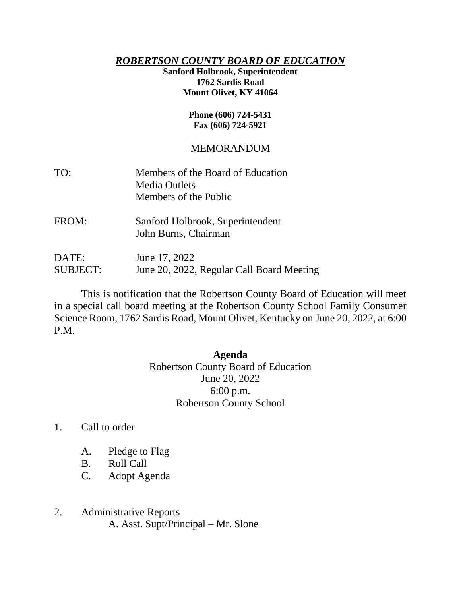## *ROBERTSON COUNTY BOARD OF EDUCATION*

## **Sanford Holbrook, Superintendent 1762 Sardis Road Mount Olivet, KY 41064**

#### **Phone (606) 724-5431 Fax (606) 724-5921**

# MEMORANDUM

| TO:                                            | Members of the Board of Education<br><b>Media Outlets</b><br>Members of the Public |
|------------------------------------------------|------------------------------------------------------------------------------------|
| FROM:                                          | Sanford Holbrook, Superintendent<br>John Burns, Chairman                           |
| $\mathbf{D}\mathbf{\Delta}^{\prime}\mathbf{F}$ | $\lim_{\theta} 17.2022$                                                            |

 $DAIE:$  June  $1/2022$ SUBJECT: June 20, 2022, Regular Call Board Meeting

This is notification that the Robertson County Board of Education will meet in a special call board meeting at the Robertson County School Family Consumer Science Room, 1762 Sardis Road, Mount Olivet, Kentucky on June 20, 2022, at 6:00 P.M.

## **Agenda**

Robertson County Board of Education June 20, 2022 6:00 p.m. Robertson County School

- 1. Call to order
	- A. Pledge to Flag
	- B. Roll Call
	- C. Adopt Agenda
- 2. Administrative Reports A. Asst. Supt/Principal – Mr. Slone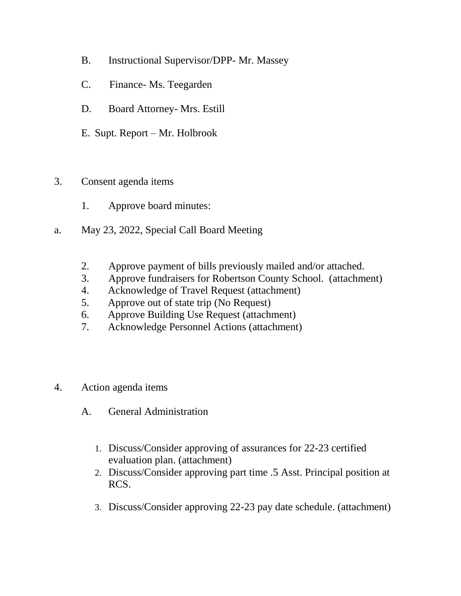- B. Instructional Supervisor/DPP- Mr. Massey
- C. Finance- Ms. Teegarden
- D. Board Attorney- Mrs. Estill
- E. Supt. Report Mr. Holbrook
- 3. Consent agenda items
	- 1. Approve board minutes:
- a. May 23, 2022, Special Call Board Meeting
	- 2. Approve payment of bills previously mailed and/or attached.
	- 3. Approve fundraisers for Robertson County School. (attachment)
	- 4. Acknowledge of Travel Request (attachment)
	- 5. Approve out of state trip (No Request)
	- 6. Approve Building Use Request (attachment)
	- 7. Acknowledge Personnel Actions (attachment)
- 4. Action agenda items
	- A. General Administration
		- 1. Discuss/Consider approving of assurances for 22-23 certified evaluation plan. (attachment)
		- 2. Discuss/Consider approving part time .5 Asst. Principal position at RCS.
		- 3. Discuss/Consider approving 22-23 pay date schedule. (attachment)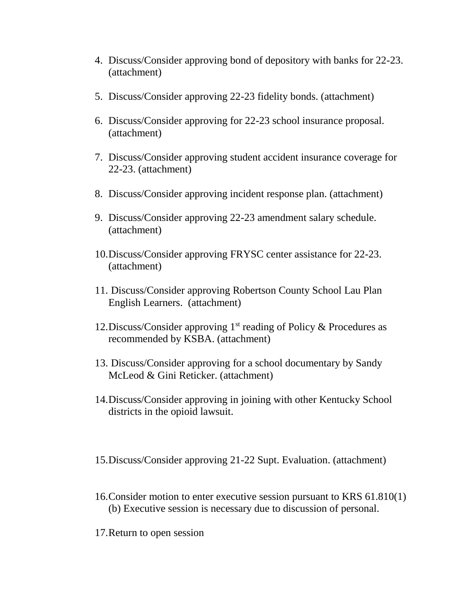- 4. Discuss/Consider approving bond of depository with banks for 22-23. (attachment)
- 5. Discuss/Consider approving 22-23 fidelity bonds. (attachment)
- 6. Discuss/Consider approving for 22-23 school insurance proposal. (attachment)
- 7. Discuss/Consider approving student accident insurance coverage for 22-23. (attachment)
- 8. Discuss/Consider approving incident response plan. (attachment)
- 9. Discuss/Consider approving 22-23 amendment salary schedule. (attachment)
- 10.Discuss/Consider approving FRYSC center assistance for 22-23. (attachment)
- 11. Discuss/Consider approving Robertson County School Lau Plan English Learners. (attachment)
- 12. Discuss/Consider approving  $1<sup>st</sup>$  reading of Policy & Procedures as recommended by KSBA. (attachment)
- 13. Discuss/Consider approving for a school documentary by Sandy McLeod & Gini Reticker. (attachment)
- 14.Discuss/Consider approving in joining with other Kentucky School districts in the opioid lawsuit.
- 15.Discuss/Consider approving 21-22 Supt. Evaluation. (attachment)
- 16.Consider motion to enter executive session pursuant to KRS 61.810(1) (b) Executive session is necessary due to discussion of personal.
- 17.Return to open session